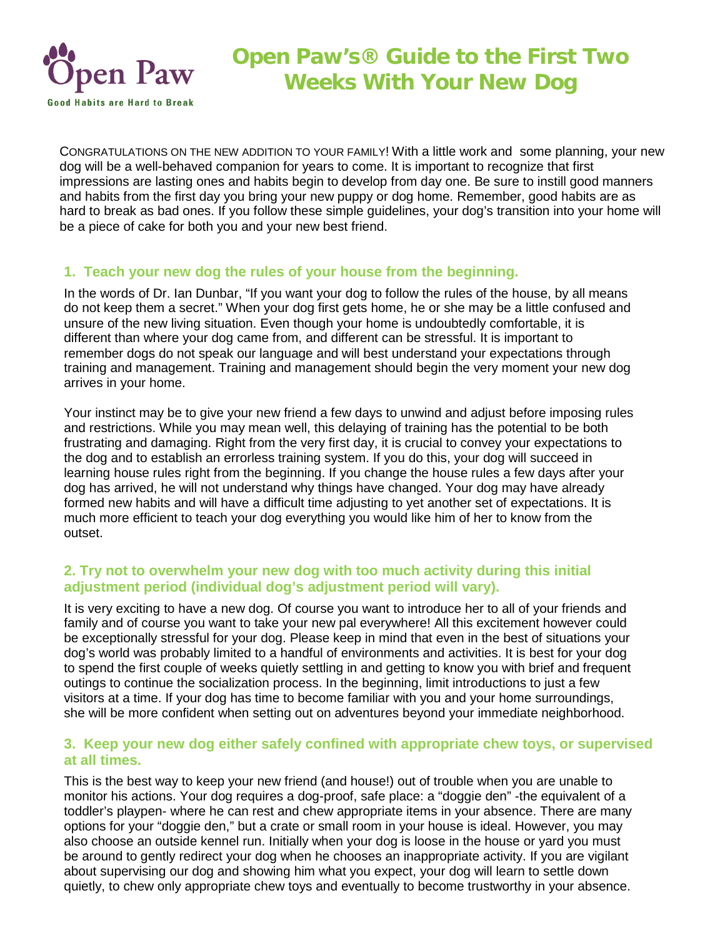

CONGRATULATIONS ON THE NEW ADDITION TO YOUR FAMILY! With a little work and some planning, your new dog will be a well-behaved companion for years to come. It is important to recognize that first impressions are lasting ones and habits begin to develop from day one. Be sure to instill good manners and habits from the first day you bring your new puppy or dog home. Remember, good habits are as hard to break as bad ones. If you follow these simple guidelines, your dog's transition into your home will be a piece of cake for both you and your new best friend.

## **1. Teach your new dog the rules of your house from the beginning.**

In the words of Dr. Ian Dunbar, "If you want your dog to follow the rules of the house, by all means do not keep them a secret." When your dog first gets home, he or she may be a little confused and unsure of the new living situation. Even though your home is undoubtedly comfortable, it is different than where your dog came from, and different can be stressful. It is important to remember dogs do not speak our language and will best understand your expectations through training and management. Training and management should begin the very moment your new dog arrives in your home.

Your instinct may be to give your new friend a few days to unwind and adjust before imposing rules and restrictions. While you may mean well, this delaying of training has the potential to be both frustrating and damaging. Right from the very first day, it is crucial to convey your expectations to the dog and to establish an errorless training system. If you do this, your dog will succeed in learning house rules right from the beginning. If you change the house rules a few days after your dog has arrived, he will not understand why things have changed. Your dog may have already formed new habits and will have a difficult time adjusting to yet another set of expectations. It is much more efficient to teach your dog everything you would like him of her to know from the outset.

## **2. Try not to overwhelm your new dog with too much activity during this initial adjustment period (individual dog's adjustment period will vary).**

It is very exciting to have a new dog. Of course you want to introduce her to all of your friends and family and of course you want to take your new pal everywhere! All this excitement however could be exceptionally stressful for your dog. Please keep in mind that even in the best of situations your dog's world was probably limited to a handful of environments and activities. It is best for your dog to spend the first couple of weeks quietly settling in and getting to know you with brief and frequent outings to continue the socialization process. In the beginning, limit introductions to just a few visitors at a time. If your dog has time to become familiar with you and your home surroundings, she will be more confident when setting out on adventures beyond your immediate neighborhood.

## **3. Keep your new dog either safely confined with appropriate chew toys, or supervised at all times.**

This is the best way to keep your new friend (and house!) out of trouble when you are unable to monitor his actions. Your dog requires a dog-proof, safe place: a "doggie den" -the equivalent of a toddler's playpen- where he can rest and chew appropriate items in your absence. There are many options for your "doggie den," but a crate or small room in your house is ideal. However, you may also choose an outside kennel run. Initially when your dog is loose in the house or yard you must be around to gently redirect your dog when he chooses an inappropriate activity. If you are vigilant about supervising our dog and showing him what you expect, your dog will learn to settle down quietly, to chew only appropriate chew toys and eventually to become trustworthy in your absence.